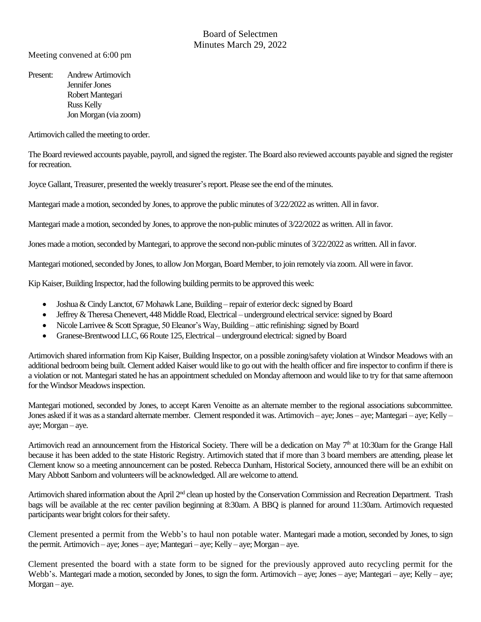### Board of Selectmen Minutes March 29, 2022

Meeting convened at 6:00 pm

Present: Andrew Artimovich Jennifer Jones Robert Mantegari Russ Kelly Jon Morgan (via zoom)

Artimovich called the meeting to order.

The Board reviewed accounts payable, payroll, and signed the register. The Board also reviewed accounts payable and signed the register for recreation.

Joyce Gallant, Treasurer, presented the weekly treasurer's report. Please see the end of theminutes.

Mantegari made a motion, seconded by Jones, to approve the public minutes of 3/22/2022 as written. All in favor.

Mantegari made a motion, seconded by Jones, to approve the non-public minutes of 3/22/2022 as written. All in favor.

Jones made a motion, seconded by Mantegari, to approve the second non-public minutes of 3/22/2022 as written. All in favor.

Mantegari motioned, seconded by Jones, to allow Jon Morgan, Board Member, to join remotely via zoom. All were in favor.

Kip Kaiser, Building Inspector, had the following building permits to be approved this week:

- Joshua & Cindy Lanctot, 67 Mohawk Lane, Building repair of exterior deck: signed by Board
- Jeffrey & Theresa Chenevert, 448 Middle Road, Electrical underground electrical service: signed by Board
- Nicole Larrivee & Scott Sprague, 50 Eleanor's Way, Building attic refinishing: signed by Board
- Granese-Brentwood LLC, 66 Route 125, Electrical underground electrical: signed by Board

Artimovich shared information from Kip Kaiser, Building Inspector, on a possible zoning/safety violation at Windsor Meadows with an additional bedroom being built. Clement added Kaiser would like to go out with the health officer and fire inspector to confirm if there is a violation or not. Mantegari stated he has an appointment scheduled on Monday afternoon and would like to try for that same afternoon for the Windsor Meadows inspection.

Mantegari motioned, seconded by Jones, to accept Karen Venoitte as an alternate member to the regional associations subcommittee. Jones asked if it was as a standard alternate member. Clement responded it was. Artimovich – aye; Jones – aye; Mantegari – aye; Kelly – aye; Morgan – aye.

Artimovich read an announcement from the Historical Society. There will be a dedication on May  $7<sup>th</sup>$  at 10:30am for the Grange Hall because it has been added to the state Historic Registry. Artimovich stated that if more than 3 board members are attending, please let Clement know so a meeting announcement can be posted. Rebecca Dunham, Historical Society, announced there will be an exhibit on Mary Abbott Sanborn and volunteers will be acknowledged. All are welcome to attend.

Artimovich shared information about the April 2<sup>nd</sup> clean up hosted by the Conservation Commission and Recreation Department. Trash bags will be available at the rec center pavilion beginning at 8:30am. A BBQ is planned for around 11:30am. Artimovich requested participants wear bright colors for their safety.

Clement presented a permit from the Webb's to haul non potable water. Mantegari made a motion, seconded by Jones, to sign the permit. Artimovich – aye; Jones – aye; Mantegari – aye; Kelly – aye; Morgan – aye.

Clement presented the board with a state form to be signed for the previously approved auto recycling permit for the Webb's. Mantegari made a motion, seconded by Jones, to sign the form. Artimovich – aye; Jones – aye; Mantegari – aye; Kelly – aye; Morgan – aye.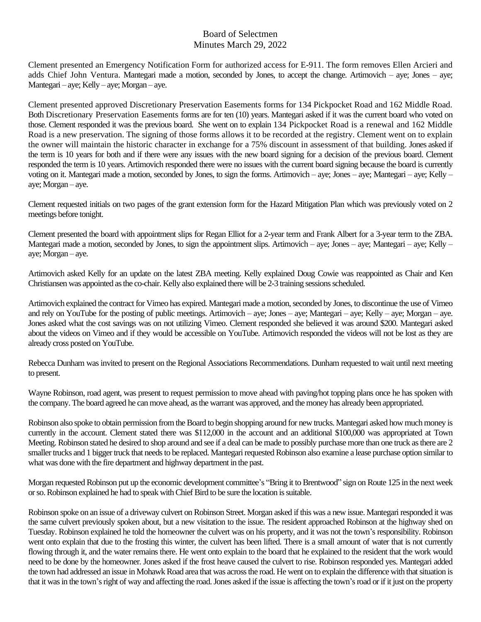## Board of Selectmen Minutes March 29, 2022

Clement presented an Emergency Notification Form for authorized access for E-911. The form removes Ellen Arcieri and adds Chief John Ventura. Mantegari made a motion, seconded by Jones, to accept the change. Artimovich – aye; Jones – aye; Mantegari – aye; Kelly – aye; Morgan – aye.

Clement presented approved Discretionary Preservation Easements forms for 134 Pickpocket Road and 162 Middle Road. Both Discretionary Preservation Easements forms are for ten (10) years. Mantegari asked if it was the current board who voted on those. Clement responded it was the previous board. She went on to explain 134 Pickpocket Road is a renewal and 162 Middle Road is a new preservation. The signing of those forms allows it to be recorded at the registry. Clement went on to explain the owner will maintain the historic character in exchange for a 75% discount in assessment of that building. Jones asked if the term is 10 years for both and if there were any issues with the new board signing for a decision of the previous board. Clement responded the term is 10 years. Artimovich responded there were no issues with the current board signing because the board is currently voting on it. Mantegari made a motion, seconded by Jones, to sign the forms. Artimovich – aye; Jones – aye; Mantegari – aye; Kelly – aye; Morgan – aye.

Clement requested initials on two pages of the grant extension form for the Hazard Mitigation Plan which was previously voted on 2 meetings before tonight.

Clement presented the board with appointment slips for Regan Elliot for a 2-year term and Frank Albert for a 3-year term to the ZBA. Mantegari made a motion, seconded by Jones, to sign the appointment slips. Artimovich – aye; Jones – aye; Mantegari – aye; Kelly – aye; Morgan – aye.

Artimovich asked Kelly for an update on the latest ZBA meeting. Kelly explained Doug Cowie was reappointed as Chair and Ken Christiansen was appointed as the co-chair. Kelly also explained there will be 2-3 training sessions scheduled.

Artimovich explained the contract for Vimeo has expired. Mantegari made a motion, seconded by Jones, to discontinue the use of Vimeo and rely on YouTube for the posting of public meetings. Artimovich – aye; Jones – aye; Mantegari – aye; Kelly – aye; Morgan – aye. Jones asked what the cost savings was on not utilizing Vimeo. Clement responded she believed it was around \$200. Mantegari asked about the videos on Vimeo and if they would be accessible on YouTube. Artimovich responded the videos will not be lost as they are already cross posted on YouTube.

Rebecca Dunham was invited to present on the Regional Associations Recommendations. Dunham requested to wait until next meeting to present.

Wayne Robinson, road agent, was present to request permission to move ahead with paving/hot topping plans once he has spoken with the company. The board agreed he can move ahead, as the warrant was approved, and the money has already been appropriated.

Robinson also spoke to obtain permission from the Board to begin shopping around for new trucks. Mantegari asked how much money is currently in the account. Clement stated there was \$112,000 in the account and an additional \$100,000 was appropriated at Town Meeting. Robinson stated he desired to shop around and see if a deal can be made to possibly purchase more than one truck as there are 2 smaller trucks and 1 bigger truck that needs to be replaced. Mantegari requested Robinson also examine a lease purchase option similar to what was done with the fire department and highway department in the past.

Morgan requested Robinson put up the economic development committee's "Bring it to Brentwood" sign on Route 125 in the next week or so.Robinson explained he had to speak with Chief Bird to be sure the location is suitable.

Robinson spoke on an issue of a driveway culvert on Robinson Street. Morgan asked if this was a new issue. Mantegari responded it was the same culvert previously spoken about, but a new visitation to the issue. The resident approached Robinson at the highway shed on Tuesday. Robinson explained he told the homeowner the culvert was on his property, and it was not the town's responsibility. Robinson went onto explain that due to the frosting this winter, the culvert has been lifted. There is a small amount of water that is not currently flowing through it, and the water remains there. He went onto explain to the board that he explained to the resident that the work would need to be done by the homeowner. Jones asked if the frost heave caused the culvert to rise. Robinson responded yes. Mantegari added the town had addressed an issue in Mohawk Road area that was across the road. He went on to explain the difference with that situation is that it was in the town's right of way and affecting the road. Jones asked if the issue is affecting the town's road or if it just on the property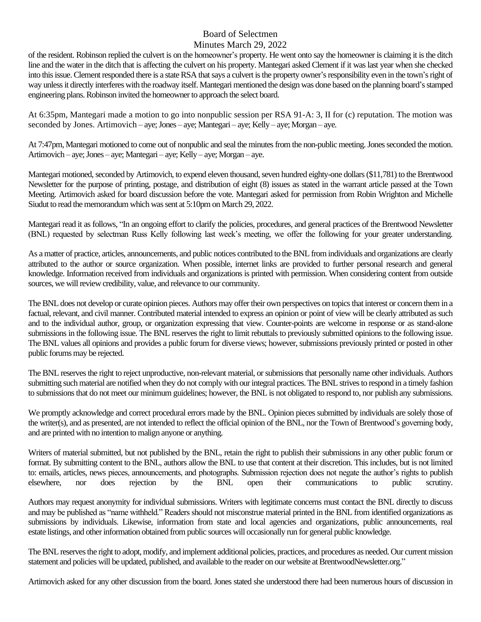# Board of Selectmen

#### Minutes March 29, 2022

of the resident. Robinson replied the culvert is on the homeowner's property. He went onto say the homeowner is claiming it is the ditch line and the water in the ditch that is affecting the culvert on his property. Mantegari asked Clement if it was last year when she checked into this issue. Clement responded there is a state RSA thatsays a culvert is the property owner's responsibility even in the town's right of way unless it directly interferes with the roadway itself. Mantegari mentioned the design was done based on the planning board's stamped engineering plans.Robinson invited the homeowner to approach the select board.

At 6:35pm, Mantegari made a motion to go into nonpublic session per RSA 91-A: 3, II for (c) reputation. The motion was seconded by Jones. Artimovich – aye; Jones – aye; Mantegari – aye; Kelly – aye; Morgan – aye.

At 7:47pm, Mantegari motioned to come out of nonpublic and seal the minutes from the non-public meeting. Jones seconded the motion. Artimovich – aye; Jones – aye; Mantegari – aye; Kelly – aye; Morgan – aye.

Mantegari motioned, seconded by Artimovich, to expend eleven thousand, seven hundred eighty-one dollars (\$11,781) to the Brentwood Newsletter for the purpose of printing, postage, and distribution of eight (8) issues as stated in the warrant article passed at the Town Meeting. Artimovich asked for board discussion before the vote. Mantegari asked for permission from Robin Wrighton and Michelle Siudut to read the memorandum which was sent at 5:10pm on March 29, 2022.

Mantegari read it as follows, "In an ongoing effort to clarify the policies, procedures, and general practices of the Brentwood Newsletter (BNL) requested by selectman Russ Kelly following last week's meeting, we offer the following for your greater understanding.

As a matter of practice, articles, announcements, and public notices contributed to the BNL from individuals and organizations are clearly attributed to the author or source organization. When possible, internet links are provided to further personal research and general knowledge. Information received from individuals and organizations is printed with permission. When considering content from outside sources, we will review credibility, value, and relevance to our community.

The BNL does not develop or curate opinion pieces. Authors may offer their own perspectives on topics that interest or concern them in a factual, relevant, and civil manner. Contributed material intended to express an opinion or point of view will be clearly attributed as such and to the individual author, group, or organization expressing that view. Counter-points are welcome in response or as stand-alone submissions in the following issue. The BNL reserves the right to limit rebuttals to previously submitted opinions to the following issue. The BNL values all opinions and provides a public forum for diverse views; however, submissions previously printed or posted in other public forums may be rejected.

The BNL reserves the right to reject unproductive, non-relevant material, or submissions that personally name other individuals. Authors submitting such material are notified when they do not comply with our integral practices. The BNL strives to respond in a timely fashion to submissionsthat do not meet our minimum guidelines; however, the BNL is not obligated to respond to, nor publish any submissions.

We promptly acknowledge and correct procedural errors made by the BNL. Opinion pieces submitted by individuals are solely those of the writer(s), and as presented, are not intended to reflect the official opinion of the BNL, nor the Town of Brentwood's governing body, and are printed with no intention to malign anyone or anything.

Writers of material submitted, but not published by the BNL, retain the right to publish their submissions in any other public forum or format. By submitting content to the BNL, authors allow the BNL to use that content at their discretion. This includes, but is not limited to: emails, articles, news pieces, announcements, and photographs. Submission rejection does not negate the author's rights to publish elsewhere, nor does rejection by the BNL open their communications to public scrutiny.

Authors may request anonymity for individual submissions. Writers with legitimate concerns must contact the BNL directly to discuss and may be published as "name withheld." Readers should not misconstrue material printed in the BNL from identified organizations as submissions by individuals. Likewise, information from state and local agencies and organizations, public announcements, real estate listings, and other information obtained from public sources will occasionally run for general public knowledge.

The BNL reserves the right to adopt, modify, and implement additional policies, practices, and procedures as needed. Our current mission statement and policies will be updated, published, and available to the reader on our website at BrentwoodNewsletter.org."

Artimovich asked for any other discussion from the board. Jones stated she understood there had been numerous hours of discussion in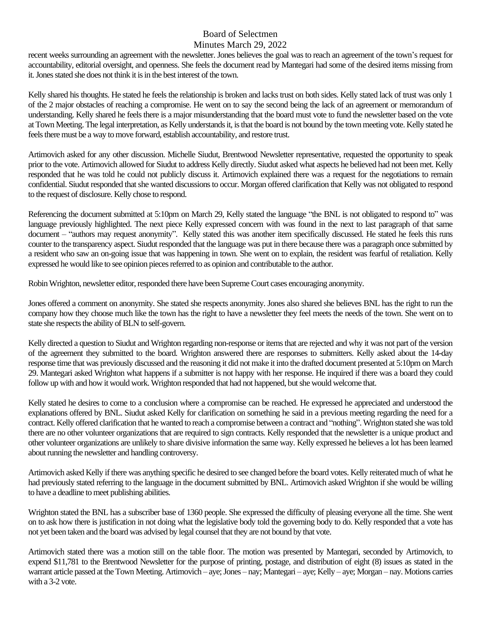# Board of Selectmen

#### Minutes March 29, 2022

recent weeks surrounding an agreement with the newsletter. Jones believes the goal was to reach an agreement of the town's request for accountability, editorial oversight, and openness. She feels the document read by Mantegari had some of the desired items missing from it. Jones stated she does not think it is in the best interest of the town.

Kelly shared his thoughts. He stated he feels the relationship is broken and lacks trust on both sides. Kelly stated lack of trust was only 1 of the 2 major obstacles of reaching a compromise. He went on to say the second being the lack of an agreement or memorandum of understanding. Kelly shared he feels there is a major misunderstanding that the board must vote to fund the newsletter based on the vote at Town Meeting. The legal interpretation, as Kelly understands it, is that the board is not bound by the town meeting vote. Kelly stated he feels there must be a way to move forward, establish accountability, and restore trust.

Artimovich asked for any other discussion. Michelle Siudut, Brentwood Newsletter representative, requested the opportunity to speak prior to the vote. Artimovich allowed for Siudut to address Kelly directly. Siudut asked what aspects he believed had not been met. Kelly responded that he was told he could not publicly discuss it. Artimovich explained there was a request for the negotiations to remain confidential. Siudut responded that she wanted discussions to occur. Morgan offered clarification that Kelly was not obligated to respond to the request of disclosure. Kelly chose to respond.

Referencing the document submitted at 5:10pm on March 29, Kelly stated the language "the BNL is not obligated to respond to" was language previously highlighted. The next piece Kelly expressed concern with was found in the next to last paragraph of that same document – "authors may request anonymity". Kelly stated this was another item specifically discussed. He stated he feels this runs counter to the transparency aspect. Siudut responded that the language was put in there because there was a paragraph once submitted by a resident who saw an on-going issue that was happening in town. She went on to explain, the resident was fearful of retaliation. Kelly expressed he would like to see opinion pieces referred to as opinion and contributable to the author.

Robin Wrighton, newsletter editor, responded there have been Supreme Court cases encouraging anonymity.

Jones offered a comment on anonymity. She stated she respects anonymity. Jones also shared she believes BNL has the right to run the company how they choose much like the town has the right to have a newsletter they feel meets the needs of the town. She went on to state she respects the ability of BLN to self-govern.

Kelly directed a question to Siudut and Wrighton regarding non-response or items that are rejected and why it was not part of the version of the agreement they submitted to the board. Wrighton answered there are responses to submitters. Kelly asked about the 14-day response time that was previously discussed and the reasoning it did not make it into the drafted document presented at 5:10pm on March 29. Mantegari asked Wrighton what happens if a submitter is not happy with her response. He inquired if there was a board they could follow up with and how it would work. Wrighton responded that had not happened, but she would welcome that.

Kelly stated he desires to come to a conclusion where a compromise can be reached. He expressed he appreciated and understood the explanations offered by BNL. Siudut asked Kelly for clarification on something he said in a previous meeting regarding the need for a contract. Kelly offered clarification that he wanted to reach a compromise between a contract and "nothing". Wrighton stated she was told there are no other volunteer organizations that are required to sign contracts. Kelly responded that the newsletter is a unique product and other volunteer organizations are unlikely to share divisive information the same way. Kelly expressed he believes a lot has been learned about running the newsletter and handling controversy.

Artimovich asked Kelly if there was anything specific he desired to see changed before the board votes. Kelly reiterated much of what he had previously stated referring to the language in the document submitted by BNL. Artimovich asked Wrighton if she would be willing to have a deadline to meet publishing abilities.

Wrighton stated the BNL has a subscriber base of 1360 people. She expressed the difficulty of pleasing everyone all the time. She went on to ask how there is justification in not doing what the legislative body told the governing body to do. Kelly responded that a vote has not yet been taken and the board was advised by legal counsel that they are not bound by that vote.

Artimovich stated there was a motion still on the table floor. The motion was presented by Mantegari, seconded by Artimovich, to expend \$11,781 to the Brentwood Newsletter for the purpose of printing, postage, and distribution of eight (8) issues as stated in the warrant article passed at the Town Meeting. Artimovich – aye; Jones – nay; Mantegari – aye; Kelly – aye; Morgan – nay. Motions carries with a 3-2 vote.